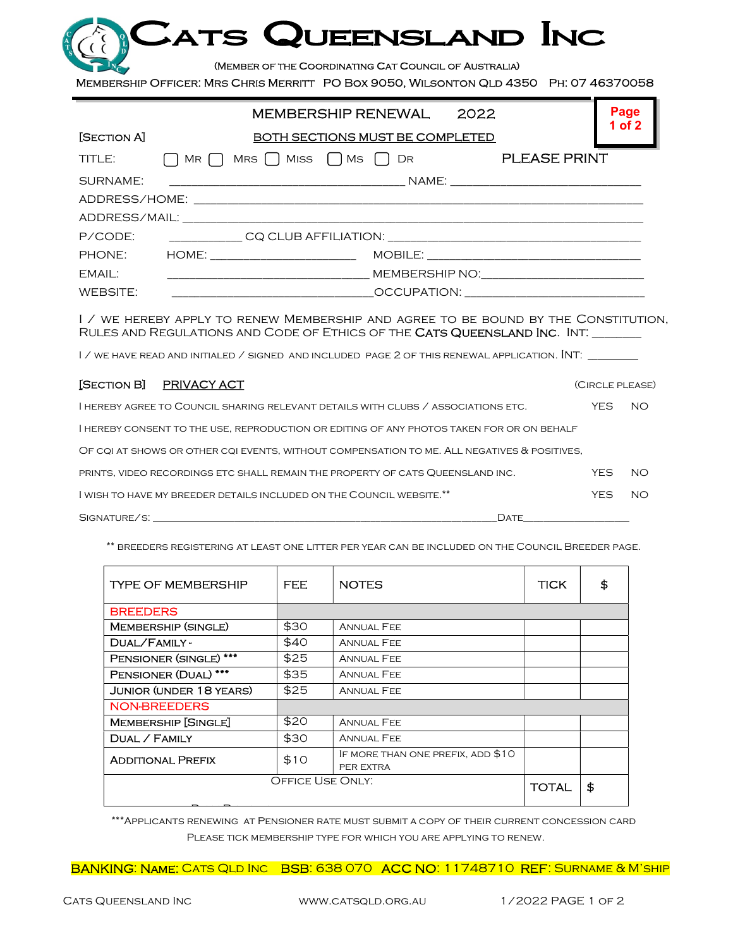| CATS QUEENSLAND INC                                                                   |  |
|---------------------------------------------------------------------------------------|--|
| (MEMBER OF THE COORDINATING CAT COUNCIL OF AUSTRALIA)                                 |  |
| MEMBERSHIP OFFICER: MRS CHRIS MERRITT PO BOX 9050, WILSONTON QLD 4350 PH: 07 46370058 |  |

|                                                                                                                                                                        | MEMBERSHIP RENEWAL<br>2022                                                                     | Page   |  |  |  |  |  |
|------------------------------------------------------------------------------------------------------------------------------------------------------------------------|------------------------------------------------------------------------------------------------|--------|--|--|--|--|--|
| [SECTION A]                                                                                                                                                            | BOTH SECTIONS MUST BE COMPLETED                                                                | 1 of 2 |  |  |  |  |  |
|                                                                                                                                                                        | TITLE: $\bigcap$ MR $\bigcap$ MRS $\bigcap$ MISS $\bigcap$ MS $\bigcap$ DR <b>PLEASE PRINT</b> |        |  |  |  |  |  |
| SURNAME:                                                                                                                                                               |                                                                                                |        |  |  |  |  |  |
|                                                                                                                                                                        |                                                                                                |        |  |  |  |  |  |
|                                                                                                                                                                        |                                                                                                |        |  |  |  |  |  |
|                                                                                                                                                                        |                                                                                                |        |  |  |  |  |  |
|                                                                                                                                                                        |                                                                                                |        |  |  |  |  |  |
| EMAIL:                                                                                                                                                                 |                                                                                                |        |  |  |  |  |  |
| WEBSITE:                                                                                                                                                               |                                                                                                |        |  |  |  |  |  |
| I / WE HEREBY APPLY TO RENEW MEMBERSHIP AND AGREE TO BE BOUND BY THE CONSTITUTION,<br>RULES AND REGULATIONS AND CODE OF ETHICS OF THE <b>CATS QUEENSLAND INC.</b> INT. |                                                                                                |        |  |  |  |  |  |

I / WE HAVE READ AND INITIALED / SIGNED AND INCLUDED PAGE 2 OF THIS RENEWAL APPLICATION. INT: \_\_\_\_\_\_\_\_

| [SECTION B] PRIVACY ACT                                                                     | (CIRCLE PLEASE) |     |
|---------------------------------------------------------------------------------------------|-----------------|-----|
| I HEREBY AGREE TO COUNCIL SHARING RELEVANT DETAILS WITH CLUBS / ASSOCIATIONS ETC.           | YFS             | -NO |
| I HEREBY CONSENT TO THE USE, REPRODUCTION OR EDITING OF ANY PHOTOS TAKEN FOR OR ON BEHALF   |                 |     |
| OF CQI AT SHOWS OR OTHER CQI EVENTS, WITHOUT COMPENSATION TO ME. ALL NEGATIVES & POSITIVES, |                 |     |
| PRINTS, VIDEO RECORDINGS ETC SHALL REMAIN THE PROPERTY OF CATS QUEENSLAND INC.              | <b>YFS</b>      | NO. |
| I WISH TO HAVE MY BREEDER DETAILS INCLUDED ON THE COUNCIL WEBSITE.**                        | <b>YFS</b>      | NO  |
| SIGNATURE/S:<br>Date                                                                        |                 |     |

\*\* breeders registering at least one litter per year can be included on the Council Breeder page.

| <b>TYPE OF MEMBERSHIP</b>      | FEE. | <b>NOTES</b>                                   | <b>TICK</b> |    |
|--------------------------------|------|------------------------------------------------|-------------|----|
| <b>BREEDERS</b>                |      |                                                |             |    |
| <b>MEMBERSHIP (SINGLE)</b>     | \$30 | <b>ANNUAL FEE</b>                              |             |    |
| DUAL/FAMILY-                   | \$40 | <b>ANNUAL FEE</b>                              |             |    |
| PENSIONER (SINGLE) ***         | \$25 | <b>ANNUAL FEE</b>                              |             |    |
| PENSIONER (DUAL) ***           | \$35 | <b>ANNUAL FEE</b>                              |             |    |
| <b>JUNIOR (UNDER 18 YEARS)</b> | \$25 | <b>ANNUAL FEE</b>                              |             |    |
| <b>NON-BREEDERS</b>            |      |                                                |             |    |
| <b>MEMBERSHIP [SINGLE]</b>     | \$20 | <b>ANNUAL FEE</b>                              |             |    |
| DUAL / FAMILY                  | \$30 | <b>ANNUAL FEE</b>                              |             |    |
| <b>ADDITIONAL PREFIX</b>       | \$10 | IF MORE THAN ONE PREFIX, ADD \$10<br>PER EXTRA |             |    |
| <b>OFFICE USE ONLY:</b>        |      |                                                |             | \$ |
|                                |      |                                                |             |    |

\*\*\*Applicants renewing at Pensioner rate must submit a copy of their current concession card Please tick membership type for which you are applying to renew.

BANKING: NAME: CATS QLD INC BSB: 638 070 ACC NO: 11748710 REF: SURNAME & M'SHIP